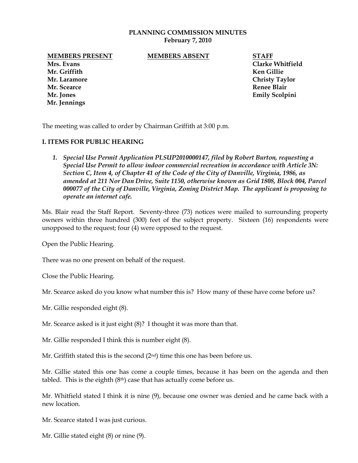### **PLANNING COMMISSION MINUTES February 7, 2010**

**MEMBERS PRESENT MEMBERS ABSENT STAFF**

**Mrs. Evans Clarke Whitfield Mr. Griffith Ken Gillie Mr. Laramore Christy Taylor Mr. Scearce Renee Blair Mr. Jones Emily Scolpini Mr. Jennings**

The meeting was called to order by Chairman Griffith at 3:00 p.m.

## **I. ITEMS FOR PUBLIC HEARING**

*1. Special Use Permit Application PLSUP2010000147, filed by Robert Burton, requesting a Special Use Permit to allow indoor commercial recreation in accordance with Article 3N: Section C, Item 4, of Chapter 41 of the Code of the City of Danville, Virginia, 1986, as amended at 211 Nor Dan Drive, Suite 1150, otherwise known as Grid 1808, Block 004, Parcel 000077 of the City of Danville, Virginia, Zoning District Map. The applicant is proposing to operate an internet cafe.*

Ms. Blair read the Staff Report. Seventy-three (73) notices were mailed to surrounding property owners within three hundred (300) feet of the subject property. Sixteen (16) respondents were unopposed to the request; four (4) were opposed to the request.

Open the Public Hearing.

There was no one present on behalf of the request.

Close the Public Hearing.

Mr. Scearce asked do you know what number this is? How many of these have come before us?

Mr. Gillie responded eight (8).

Mr. Scearce asked is it just eight (8)? I thought it was more than that.

Mr. Gillie responded I think this is number eight (8).

Mr. Griffith stated this is the second  $(2<sup>nd</sup>)$  time this one has been before us.

Mr. Gillie stated this one has come a couple times, because it has been on the agenda and then tabled. This is the eighth  $(8<sup>th</sup>)$  case that has actually come before us.

Mr. Whitfield stated I think it is nine (9), because one owner was denied and he came back with a new location.

Mr. Scearce stated I was just curious.

Mr. Gillie stated eight (8) or nine (9).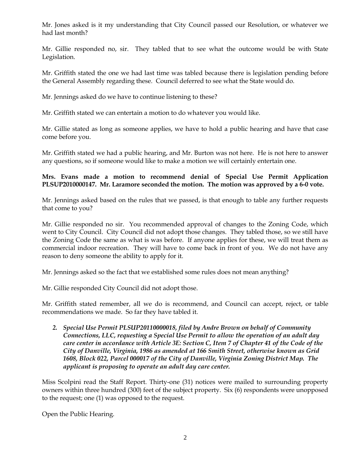Mr. Jones asked is it my understanding that City Council passed our Resolution, or whatever we had last month?

Mr. Gillie responded no, sir. They tabled that to see what the outcome would be with State Legislation.

Mr. Griffith stated the one we had last time was tabled because there is legislation pending before the General Assembly regarding these. Council deferred to see what the State would do.

Mr. Jennings asked do we have to continue listening to these?

Mr. Griffith stated we can entertain a motion to do whatever you would like.

Mr. Gillie stated as long as someone applies, we have to hold a public hearing and have that case come before you.

Mr. Griffith stated we had a public hearing, and Mr. Burton was not here. He is not here to answer any questions, so if someone would like to make a motion we will certainly entertain one.

# **Mrs. Evans made a motion to recommend denial of Special Use Permit Application PLSUP2010000147. Mr. Laramore seconded the motion. The motion was approved by a 6-0 vote.**

Mr. Jennings asked based on the rules that we passed, is that enough to table any further requests that come to you?

Mr. Gillie responded no sir. You recommended approval of changes to the Zoning Code, which went to City Council. City Council did not adopt those changes. They tabled those, so we still have the Zoning Code the same as what is was before. If anyone applies for these, we will treat them as commercial indoor recreation. They will have to come back in front of you. We do not have any reason to deny someone the ability to apply for it.

Mr. Jennings asked so the fact that we established some rules does not mean anything?

Mr. Gillie responded City Council did not adopt those.

Mr. Griffith stated remember, all we do is recommend, and Council can accept, reject, or table recommendations we made. So far they have tabled it.

*2. Special Use Permit PLSUP20110000018, filed by Andre Brown on behalf of Community Connections, LLC, requesting a Special Use Permit to allow the operation of an adult day care center in accordance with Article 3E: Section C, Item 7 of Chapter 41 of the Code of the City of Danville, Virginia, 1986 as amended at 166 Smith Street, otherwise known as Grid 1608, Block 022, Parcel 000017 of the City of Danville, Virginia Zoning District Map. The applicant is proposing to operate an adult day care center.* 

Miss Scolpini read the Staff Report. Thirty-one (31) notices were mailed to surrounding property owners within three hundred (300) feet of the subject property. Six (6) respondents were unopposed to the request; one (1) was opposed to the request.

Open the Public Hearing.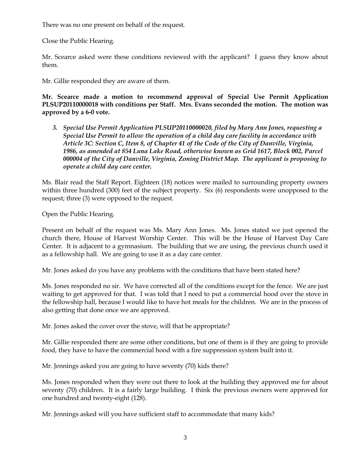There was no one present on behalf of the request.

Close the Public Hearing.

Mr. Scearce asked were these conditions reviewed with the applicant? I guess they know about them.

Mr. Gillie responded they are aware of them.

**Mr. Scearce made a motion to recommend approval of Special Use Permit Application PLSUP20110000018 with conditions per Staff. Mrs. Evans seconded the motion. The motion was approved by a 6-0 vote.** 

*3. Special Use Permit Application PLSUP20110000020, filed by Mary Ann Jones, requesting a Special Use Permit to allow the operation of a child day care facility in accordance with Article 3C: Section C, Item 8, of Chapter 41 of the Code of the City of Danville, Virginia, 1986, as amended at 854 Luna Lake Road, otherwise known as Grid 1617, Block 002, Parcel 000004 of the City of Danville, Virginia, Zoning District Map. The applicant is proposing to operate a child day care center.*

Ms. Blair read the Staff Report. Eighteen (18) notices were mailed to surrounding property owners within three hundred (300) feet of the subject property. Six (6) respondents were unopposed to the request; three (3) were opposed to the request.

Open the Public Hearing.

Present on behalf of the request was Ms. Mary Ann Jones. Ms. Jones stated we just opened the church there, House of Harvest Worship Center. This will be the House of Harvest Day Care Center. It is adjacent to a gymnasium. The building that we are using, the previous church used it as a fellowship hall. We are going to use it as a day care center.

Mr. Jones asked do you have any problems with the conditions that have been stated here?

Ms. Jones responded no sir. We have corrected all of the conditions except for the fence. We are just waiting to get approved for that. I was told that I need to put a commercial hood over the stove in the fellowship hall, because I would like to have hot meals for the children. We are in the process of also getting that done once we are approved.

Mr. Jones asked the cover over the stove, will that be appropriate?

Mr. Gillie responded there are some other conditions, but one of them is if they are going to provide food, they have to have the commercial hood with a fire suppression system built into it.

Mr. Jennings asked you are going to have seventy (70) kids there?

Ms. Jones responded when they were out there to look at the building they approved me for about seventy (70) children. It is a fairly large building. I think the previous owners were approved for one hundred and twenty-eight (128).

Mr. Jennings asked will you have sufficient staff to accommodate that many kids?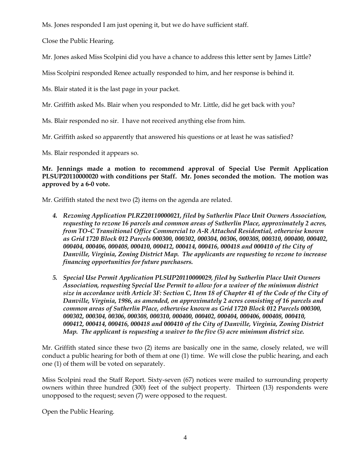Ms. Jones responded I am just opening it, but we do have sufficient staff.

Close the Public Hearing.

Mr. Jones asked Miss Scolpini did you have a chance to address this letter sent by James Little?

Miss Scolpini responded Renee actually responded to him, and her response is behind it.

Ms. Blair stated it is the last page in your packet.

Mr. Griffith asked Ms. Blair when you responded to Mr. Little, did he get back with you?

Ms. Blair responded no sir. I have not received anything else from him.

Mr. Griffith asked so apparently that answered his questions or at least he was satisfied?

Ms. Blair responded it appears so.

**Mr. Jennings made a motion to recommend approval of Special Use Permit Application PLSUP20110000020 with conditions per Staff. Mr. Jones seconded the motion. The motion was approved by a 6-0 vote.** 

Mr. Griffith stated the next two (2) items on the agenda are related.

- *4. Rezoning Application PLRZ20110000021, filed by Sutherlin Place Unit Owners Association, requesting to rezone 16 parcels and common areas of Sutherlin Place, approximately 2 acres, from TO-C Transitional Office Commercial to A-R Attached Residential, otherwise known as Grid 1720 Block 012 Parcels 000300, 000302, 000304, 00306, 000308, 000310, 000400, 000402, 000404, 000406, 000408, 000410, 000412, 000414, 000416, 000418 and 000410 of the City of Danville, Virginia, Zoning District Map. The applicants are requesting to rezone to increase financing opportunities for future purchasers.*
- *5. Special Use Permit Application PLSUP20110000029, filed by Sutherlin Place Unit Owners Association, requesting Special Use Permit to allow for a waiver of the minimum district size in accordance with Article 3F: Section C, Item 18 of Chapter 41 of the Code of the City of Danville, Virginia, 1986, as amended, on approximately 2 acres consisting of 16 parcels and common areas of Sutherlin Place, otherwise known as Grid 1720 Block 012 Parcels 000300, 000302, 000304, 00306, 000308, 000310, 000400, 000402, 000404, 000406, 000408, 000410, 000412, 000414, 000416, 000418 and 000410 of the City of Danville, Virginia, Zoning District Map. The applicant is requesting a waiver to the five (5) acre minimum district size.*

Mr. Griffith stated since these two (2) items are basically one in the same, closely related, we will conduct a public hearing for both of them at one (1) time. We will close the public hearing, and each one (1) of them will be voted on separately.

Miss Scolpini read the Staff Report. Sixty-seven (67) notices were mailed to surrounding property owners within three hundred (300) feet of the subject property. Thirteen (13) respondents were unopposed to the request; seven (7) were opposed to the request.

Open the Public Hearing.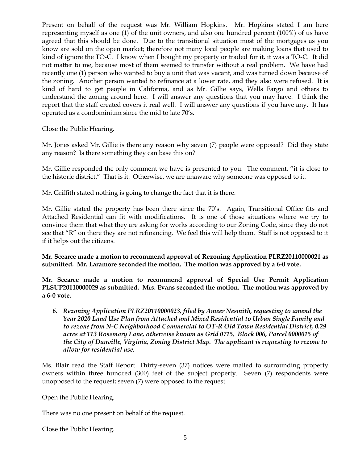Present on behalf of the request was Mr. William Hopkins. Mr. Hopkins stated I am here representing myself as one (1) of the unit owners, and also one hundred percent (100%) of us have agreed that this should be done. Due to the transitional situation most of the mortgages as you know are sold on the open market; therefore not many local people are making loans that used to kind of ignore the TO-C. I know when I bought my property or traded for it, it was a TO-C. It did not matter to me, because most of them seemed to transfer without a real problem. We have had recently one (1) person who wanted to buy a unit that was vacant, and was turned down because of the zoning. Another person wanted to refinance at a lower rate, and they also were refused. It is kind of hard to get people in California, and as Mr. Gillie says, Wells Fargo and others to understand the zoning around here. I will answer any questions that you may have. I think the report that the staff created covers it real well. I will answer any questions if you have any. It has operated as a condominium since the mid to late 70's.

Close the Public Hearing.

Mr. Jones asked Mr. Gillie is there any reason why seven (7) people were opposed? Did they state any reason? Is there something they can base this on?

Mr. Gillie responded the only comment we have is presented to you. The comment, "it is close to the historic district." That is it. Otherwise, we are unaware why someone was opposed to it.

Mr. Griffith stated nothing is going to change the fact that it is there.

Mr. Gillie stated the property has been there since the 70's. Again, Transitional Office fits and Attached Residential can fit with modifications. It is one of those situations where we try to convince them that what they are asking for works according to our Zoning Code, since they do not see that "R" on there they are not refinancing. We feel this will help them. Staff is not opposed to it if it helps out the citizens.

## **Mr. Scearce made a motion to recommend approval of Rezoning Application PLRZ20110000021 as submitted. Mr. Laramore seconded the motion. The motion was approved by a 6-0 vote.**

**Mr. Scearce made a motion to recommend approval of Special Use Permit Application PLSUP20110000029 as submitted. Mrs. Evans seconded the motion. The motion was approved by a 6-0 vote.**

*6. Rezoning Application PLRZ20110000023, filed by Ameer Nesmith, requesting to amend the Year 2020 Land Use Plan from Attached and Mixed Residential to Urban Single Family and to rezone from N-C Neighborhood Commercial to OT-R Old Town Residential District, 0.29 acres at 113 Rosemary Lane, otherwise known as Grid 0715, Block 006, Parcel 0000015 of the City of Danville, Virginia, Zoning District Map. The applicant is requesting to rezone to allow for residential use.*

Ms. Blair read the Staff Report. Thirty-seven (37) notices were mailed to surrounding property owners within three hundred (300) feet of the subject property. Seven (7) respondents were unopposed to the request; seven (7) were opposed to the request.

Open the Public Hearing.

There was no one present on behalf of the request.

Close the Public Hearing.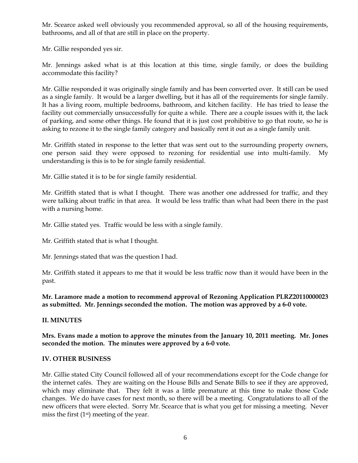Mr. Scearce asked well obviously you recommended approval, so all of the housing requirements, bathrooms, and all of that are still in place on the property.

Mr. Gillie responded yes sir.

Mr. Jennings asked what is at this location at this time, single family, or does the building accommodate this facility?

Mr. Gillie responded it was originally single family and has been converted over. It still can be used as a single family. It would be a larger dwelling, but it has all of the requirements for single family. It has a living room, multiple bedrooms, bathroom, and kitchen facility. He has tried to lease the facility out commercially unsuccessfully for quite a while. There are a couple issues with it, the lack of parking, and some other things. He found that it is just cost prohibitive to go that route, so he is asking to rezone it to the single family category and basically rent it out as a single family unit.

Mr. Griffith stated in response to the letter that was sent out to the surrounding property owners, one person said they were opposed to rezoning for residential use into multi-family. My understanding is this is to be for single family residential.

Mr. Gillie stated it is to be for single family residential.

Mr. Griffith stated that is what I thought. There was another one addressed for traffic, and they were talking about traffic in that area. It would be less traffic than what had been there in the past with a nursing home.

Mr. Gillie stated yes. Traffic would be less with a single family.

Mr. Griffith stated that is what I thought.

Mr. Jennings stated that was the question I had.

Mr. Griffith stated it appears to me that it would be less traffic now than it would have been in the past.

**Mr. Laramore made a motion to recommend approval of Rezoning Application PLRZ20110000023 as submitted. Mr. Jennings seconded the motion. The motion was approved by a 6-0 vote.** 

## **II. MINUTES**

**Mrs. Evans made a motion to approve the minutes from the January 10, 2011 meeting. Mr. Jones seconded the motion. The minutes were approved by a 6-0 vote.**

## **IV. OTHER BUSINESS**

Mr. Gillie stated City Council followed all of your recommendations except for the Code change for the internet cafés. They are waiting on the House Bills and Senate Bills to see if they are approved, which may eliminate that. They felt it was a little premature at this time to make those Code changes. We do have cases for next month, so there will be a meeting. Congratulations to all of the new officers that were elected. Sorry Mr. Scearce that is what you get for missing a meeting. Never miss the first (1st) meeting of the year.